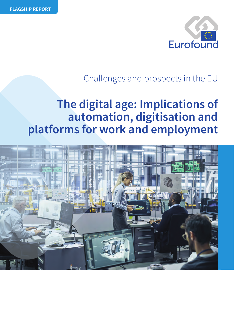

# Challenges and prospects in the EU

# **The digital age: Implications of automation, digitisation and platforms for work and employment**

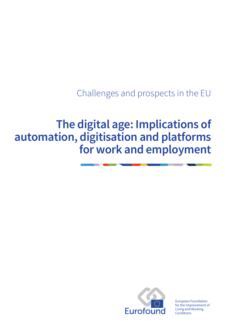Challenges and prospects in the EU

# **The digital age: Implications of automation, digitisation and platforms for work and employment**



European Foundation for the Improvement of Living and Working **Conditions**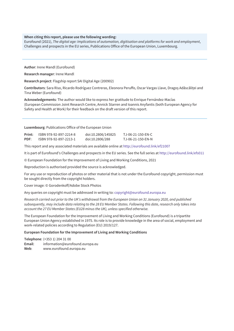#### **When citing this report, please use the following wording:**

Eurofound (2021), *The digital age: Implications of automation, digitisation and platforms for work and employment*, Challenges and prospects in the EU series, Publications Office of the European Union, Luxembourg.

**Author**: Irene Mandl (Eurofound)

**Research manager**: Irene Mandl

**Research project**: Flagship report SAI Digital Age (200902)

**Contributors**: Sara Riso, Ricardo Rodríguez Contreras, Eleonora Peruffo, Oscar Vargas Llave, Dragoș Adăscăliței and Tina Weber (Eurofound)

**Acknowledgements**: The author would like to express her gratitude to Enrique Fernández-Macías (European Commission Joint Research Centre, Annick Starren and Ioannis Anyfantis (both European Agency for Safety and Health at Work) for their feedback on the draft version of this report.

**Luxembourg**: Publications Office of the European Union

| Print: | ISBN 978-92-897-2214-8 | doi:10.2806/145825 | TJ-06-21-150-EN-C |
|--------|------------------------|--------------------|-------------------|
| PDF:   | ISBN 978-92-897-2213-1 | doi:10.2806/288    | TJ-06-21-150-EN-N |

This report and any associated materials are available online at <http://eurofound.link/ef21007>

It is part of Eurofound's Challenges and prospects in the EU series. See the full series at <http://eurofound.link/efs011>

© European Foundation for the Improvement of Living and Working Conditions, 2021

Reproduction is authorised provided the source is acknowledged.

For any use or reproduction of photos or other material that is not under the Eurofound copyright, permission must be sought directly from the copyright holders.

Cover image: © Gorodenkoff/Adobe Stock Photos

Any queries on copyright must be addressed in writing to: [copyright@eurofound.europa.eu](mailto:copyright@eurofound.europa.eu)

*Research carried out prior to the UK's withdrawal from the European Union on 31 January 2020, and published subsequently, may include data relating to the 28 EU Member States. Following this date, research only takes into account the 27 EU Member States (EU28 minus the UK), unless specified otherwise.*

The European Foundation for the Improvement of Living and Working Conditions (Eurofound) is a tripartite European Union Agency established in 1975. Its role is to provide knowledge in the area of social, employment and work-related policies according to Regulation (EU) 2019/127.

#### **European Foundation for the Improvement of Living and Working Conditions**

**Telephone**: (+353 1) 204 31 00 **Email**: [information@eurofound.europa.eu](mailto:information@eurofound.europa.eu)  **Web**: [www.eurofound.europa.eu](http://www.eurofound.europa.eu)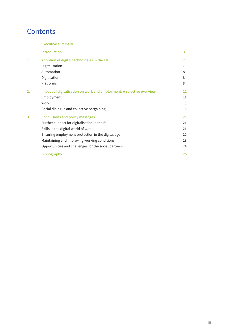# **Contents**

|    | <b>Executive summary</b>                                              | 1  |
|----|-----------------------------------------------------------------------|----|
|    | <b>Introduction</b>                                                   | 3  |
| 1. | Adoption of digital technologies in the EU                            | 7  |
|    | Digitalisation                                                        |    |
|    | Automation                                                            | 8  |
|    | Digitisation                                                          | 8  |
|    | Platforms                                                             | 8  |
| 2. | Impact of digitalisation on work and employment: A selective overview | 11 |
|    | Employment                                                            | 11 |
|    | Work                                                                  | 15 |
|    | Social dialogue and collective bargaining                             | 18 |
| 3. | <b>Conclusions and policy messages</b>                                | 21 |
|    | Further support for digitalisation in the EU                          | 21 |
|    | Skills in the digital world of work                                   | 21 |
|    | Ensuring employment protection in the digital age                     | 22 |
|    | Maintaining and improving working conditions                          | 23 |
|    | Opportunities and challenges for the social partners                  | 24 |
|    | <b>Bibliography</b>                                                   | 25 |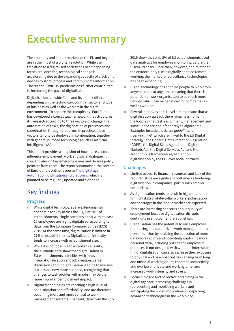# <span id="page-6-0"></span>**Executive summary**

The economy and labour markets of the EU and beyond are in the midst of a digital revolution. While the transition to a digitalised society has been happening for several decades, technological change is accelerating due to the expanding capacity of electronic devices to store, process and communicate information. The recent COVID-19 pandemic has further contributed to increasing the pace of digitalisation.

Digitalisation is a wide field, and its impact differs depending on the technology, country, sector and type of business as well as the workers in the digital environment. To capture this complexity, Eurofound has developed a conceptual framework that structures its research according to three vectors of change: the automation of tasks, the digitisation of processes and coordination through platforms. In practice, these vectors tend to be deployed in combination, together with general purpose technologies such as artificial intelligence (AI).

This report provides a snapshot of how these vectors influence employment, work and social dialogue. It concentrates on key emerging issues and derives policy pointers from them. The report summarises the content of Eurofound's online resource The digital age: [Automation, digitisation and platforms, which is](https://www.eurofound.europa.eu/data/digitalisation) planned to be regularly updated and extended.

# Key findings

## **Progress**

- While digital technologies are extending into economic activity across the EU, just 28% of establishments (single company sites) with at least 10 employees are highly digitalised, according to data from the European Company Survey (ECS) 2019. At the same time, digitalisation is limited in 27% of establishments. Digitalisation intensity tends to increase with establishment size.
- While it is not possible to establish causality, the available data show that digitalisation in EU establishments coincides with innovation, internationalisation and job creation. Earlier discussions about digitalisation leading to massive job loss are now more nuanced, recognising that changes to task profiles within jobs may be the more important employment impact.
- $\bullet$  Digital technologies are reaching a high level of sophistication and affordability, and are therefore becoming more and more central to work management systems. That said, data from the ECS

2019 show that only 5% of EU establishments used data analytics for employee monitoring before the COVID-19 crisis. Since then, however, and related to the extraordinary rise in digitally enabled remote working, the market for surveillance technologies has been expanding.

- **•** Digital technology has enabled people to work from anywhere and at any time, meaning that there is potential for work organisation to be much more flexible, which can be beneficial for companies as well as workers.
- **•** Several initiatives at EU level aim to ensure that as digitalisation spreads there remains a 'human in the loop' so that task assignment, management and surveillance are not left entirely to algorithms. Examples include the *Ethics guidelines for trustworthy AI* (which are linked to the EU Digital Strategy), the General Data Protection Regulation (GDPR), the Digital Skills Agenda, the Digital Markets Act, the Digital Services Act and the autonomous framework agreement on digitalisation by the EU-level social partners.

## **Challenges**

- **•** Limited access to financial resources and lack of the required skills are significant bottlenecks hindering digitalisation in companies, particularly smaller enterprises.
- As digitalisation tends to result in higher demand for high-skilled white-collar workers, polarisation and shortages in the labour market are expected.
- There are increasing concerns about quality of employment because digitalisation disrupts continuity in employment relationships.
- **•** Digitalisation has the potential to raise employee monitoring and data-driven work management to a new dimension by enabling the collection of more data more rapidly and potentially capturing more personal data, including outside the employer's premises. If not designed with workers' interests in mind, digitalisation can also increase their exposure to physical and psychosocial risks arising from long and unsocial working hours; constant connectivity and overlap of private and working time; and increased work intensity and stress.
- **•** Social dialogue and collective bargaining in the digital age face increasing challenges in representing and mobilising workers and anticipating the wider implications of deploying advanced technologies in the workplace.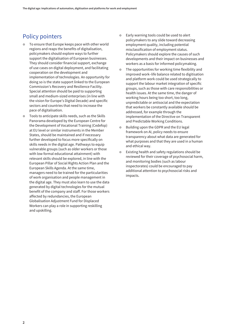# Policy pointers

- To ensure that Europe keeps pace with other world regions and reaps the benefits of digitalisation, policymakers should explore ways to further support the digitalisation of European businesses. They should consider financial support, exchange of use cases on digital deployment, and facilitating cooperation on the development and implementation of technologies. An opportunity for doing so is the state support linked to the European Commission's Recovery and Resilience Facility. Special attention should be paid to supporting small and medium-sized enterprises (in line with the vision for Europe's Digital Decade) and specific sectors and countries that need to increase the pace of digitalisation.
- Tools to anticipate skills needs, such as the Skills Panorama developed by the European Centre for the Development of Vocational Training (Cedefop) at EU level or similar instruments in the Member States, should be maintained and if necessary further developed to focus more specifically on skills needs in the digital age. Pathways to equip vulnerable groups (such as older workers or those with low formal educational attainment) with relevant skills should be explored, in line with the European Pillar of Social Rights Action Plan and the European Skills Agenda. At the same time, managers need to be trained for the particularities of work organisation and people management in the digital age. They must also learn to use the data generated by digital technologies for the mutual benefit of the company and staff. For those workers affected by redundancies, the European Globalisation Adjustment Fund for Displaced Workers can play a role in supporting reskilling and upskilling.
- £ Early warning tools could be used to alert policymakers to any slide toward decreasing employment quality, including potential misclassification of employment status. Policymakers should explore the causes of such developments and their impact on businesses and workers as a basis for informed policymaking.
- The opportunities for working time flexibility and improved work–life balance related to digitisation and platform work could be used strategically to support the labour market integration of specific groups, such as those with care responsibilities or health issues. At the same time, the danger of working hours being too short, too long, unpredictable or antisocial and the expectation that workers be constantly available should be addressed, for example through the implementation of the Directive on Transparent and Predictable Working Conditions.
- **•** Building upon the GDPR and the EU legal framework on AI, policy needs to ensure transparency about what data are generated for what purposes and that they are used in a human and ethical way.
- £ Existing health and safety regulations should be reviewed for their coverage of psychosocial harm, and monitoring bodies (such as labour inspectorates) could be encouraged to pay additional attention to psychosocial risks and impacts.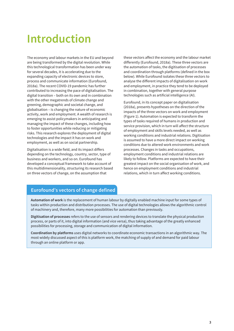# <span id="page-8-0"></span>**Introduction**

The economy and labour markets in the EU and beyond are being transformed by the digital revolution. While this technological transformation has been under way for several decades, it is accelerating due to the expanding capacity of electronic devices to store, process and communicate information (Eurofound, 2018a). The recent COVID-19 pandemic has further contributed to increasing the pace of digitalisation. The digital transition – both on its own and in combination with the other megatrends of climate change and greening, demographic and societal change, and globalisation – is changing the nature of economic activity, work and employment. A wealth of research is emerging to assist policymakers in anticipating and managing the impact of these changes, including how to foster opportunities while reducing or mitigating risks. This research explores the deployment of digital technologies and the impact it has on work and employment, as well as on social partnership.

Digitalisation is a wide field, and its impact differs depending on the technology, country, sector, type of business and workers, and so on. Eurofound has developed a conceptual framework to take account of this multidimensionality, structuring its research based on three vectors of change, on the assumption that

these vectors affect the economy and the labour market differently (Eurofound, 2018a). These three vectors are the automation of tasks, the digitisation of processes and coordination through platforms (defined in the box below). While Eurofound isolates these three vectors to analyse the different impacts of digitalisation on work and employment, in practice they tend to be deployed in combination, together with general purpose technologies such as artificial intelligence (AI).

Eurofound, in its concept paper on digitalisation (2018a), presents hypotheses on the direction of the impacts of the three vectors on work and employment (Figure 1). Automation is expected to transform the types of tasks required of humans in production and service provision, which in turn will affect the structure of employment and skills levels needed, as well as working conditions and industrial relations. Digitisation is assumed to have a more direct impact on working conditions due to altered work environments and work processes. Changes in tasks and occupations, employment conditions and industrial relations are likely to follow. Platforms are expected to have their greatest impact on the social organisation of work, and hence on employment conditions and industrial relations, which in turn affect working conditions.

## **Eurofound's vectors of change defined**

**Automation of work** is the replacement of human labour by digitally enabled machine input for some types of tasks within production and distribution processes. The use of digital technologies allows the algorithmic control of machinery and, therefore, many more possibilities for automation than previously.

**Digitisation of processes** refers to the use of sensors and rendering devices to translate the physical production process, or parts of it, into digital information (and vice versa), thus taking advantage of the greatly enhanced possibilities for processing, storage and communication of digital information.

**Coordination by platforms** uses digital networks to coordinate economic transactions in an algorithmic way. The most widely discussed aspect of this is platform work, the matching of supply of and demand for paid labour through an online platform or app.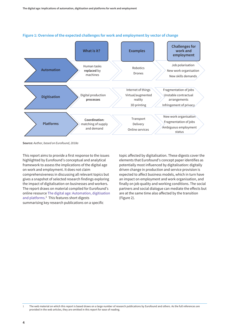

#### **Figure 1: Overview of the expected challenges for work and employment by vector of change**

**Source:** *Author, based on Eurofound, 2018a*

This report aims to provide a first response to the issues highlighted by Eurofound's conceptual and analytical framework to assess the implications of the digital age on work and employment. It does not claim comprehensiveness in discussing all relevant topics but gives a snapshot of selected research findings exploring the impact of digitalisation on businesses and workers. The report draws on material compiled for Eurofound's [online resource The digital age: Automation, digitisation](https://www.eurofound.europa.eu/data/digitalisation) and platforms.<sup>1</sup> This features short digests

summarising key research publications on a specific

topic affected by digitalisation. These digests cover the elements that Eurofound's concept paper identifies as potentially most influenced by digitalisation: digitally driven change in production and service provision is expected to affect business models, which in turn have an impact on employment and work organisation, and finally on job quality and working conditions. The social partners and social dialogue can mediate the effects but are at the same time also affected by the transition (Figure 2).

**<sup>1</sup>** The web material on which this report is based draws on a large number of research publications by Eurofound and others. As the full references are provided in the web articles, they are omitted in this report for ease of reading.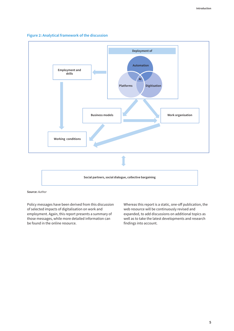



#### **Source:** *Author*

Policy messages have been derived from this discussion of selected impacts of digitalisation on work and employment. Again, this report presents a summary of those messages, while more detailed information can be found in the online resource.

Whereas this report is a static, one-off publication, the web resource will be continuously revised and expanded, to add discussions on additional topics as well as to take the latest developments and research findings into account.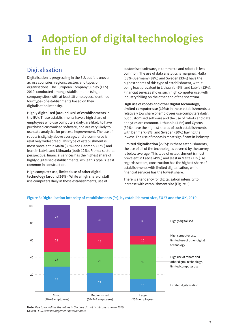# <span id="page-12-0"></span>**1 Adoption of digital technologies in the EU**

# Digitalisation

Digitalisation is progressing in the EU, but it is uneven across countries, regions, sectors and types of organisations. The European Company Survey (ECS) 2019, conducted among establishments (single company sites) with at least 10 employees, identified four types of establishments based on their digitalisation intensity.

**Highly digitalised (around 28% of establishments in the EU)**: These establishments have a high share of employees who use computers daily, are likely to have purchased customised software, and are very likely to use data analytics for process improvement. The use of robots is slightly above average, and e-commerce is relatively widespread. This type of establishment is most prevalent in Malta (39%) and Denmark (37%) and least in Latvia and Lithuania (both 12%). From a sectoral perspective, financial services has the highest share of highly digitalised establishments, while this type is least common in construction.

**High computer use, limited use of other digital technology (around 26%)**: While a high share of staff use computers daily in these establishments, use of

customised software, e-commerce and robots is less common. The use of data analytics is marginal. Malta (38%), Germany (38%) and Sweden (33%) have the highest shares of this type of establishment, with it being least prevalent in Lithuania (9%) and Latvia (12%). Financial services shows such high computer use, with industry falling on the other end of the spectrum.

**High use of robots and other digital technology, limited computer use (19%)**: In these establishments, a relatively low share of employees use computers daily, but customised software and the use of robots and data analytics are common. Lithuania (41%) and Cyprus (39%) have the highest shares of such establishments, with Denmark (8%) and Sweden (10%) having the lowest. The use of robots is most significant in industry.

**Limited digitalisation (27%)**: In these establishments, the use of all of the technologies covered by the survey is below average. This type of establishment is most prevalent in Latvia (49%) and least in Malta (11%). As regards sectors, construction has the highest share of establishments with limited digitalisation, while financial services has the lowest share.

There is a tendency for digitalisation intensity to increase with establishment size (Figure 3).



## **Figure 3: Digitalisation intensity of establishments (%), by establishment size, EU27 and the UK, 2019**

**Note:** *Due to rounding, the values in the bars do not in all cases sum to 100%.* **Source:** *ECS 2019 management questionnaire*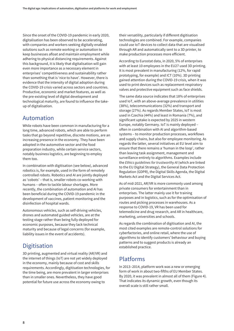<span id="page-13-0"></span>Since the onset of the COVID-19 pandemic in early 2020, digitalisation has been observed to be accelerating, with companies and workers seeking digitally enabled solutions such as remote working or automation to keep businesses afloat and maintain employment while adhering to physical distancing requirements. Against this background, it is likely that digitalisation will gain even more importance as a necessary element in enterprises' competitiveness and sustainability rather than something that is 'nice to have'. However, there is evidence that the intensity of digital adoption during the COVID-19 crisis varied across sectors and countries. Productive, economic and market features, as well as the pre-existing level of digital development and technological maturity, are found to influence the takeup of digitalisation.

# Automation

While robots have been common in manufacturing for a long time, advanced robots, which are able to perform tasks that go beyond repetitive, discrete motions, are an increasing presence in the economy. They have been adopted in the automotive sector and the food preparation industry, while certain service sectors, notably business logistics, are beginning to employ them too.

In combination with digitisation (see below), advanced robotics is, for example, used in the form of remotely controlled robots. Robotics and AI are jointly deployed as 'cobots' – that is, smaller robots co-working with humans – often to tackle labour shortages. More recently, the combination of automation and AI has been beneficial during the COVID-19 pandemic in the development of vaccines, patient monitoring and the disinfection of hospital wards.

Autonomous vehicles, such as self-driving vehicles, drones and automated guided vehicles, are at the testing stage rather than being fully deployed for economic purposes, because they lack technical maturity and because of legal concerns (for example, liability issues in the event of accidents).

# **Digitisation**

3D printing, augmented and virtual reality (AR/VR) and the internet of things (IoT) are not yet widely deployed in the economy, mainly because of cost and skills requirements. Accordingly, digitisation technologies, for the time being, are more prevalent in larger enterprises than in smaller ones. Nevertheless, they have good potential for future use across the economy owing to

their versatility, particularly if different digitisation technologies are combined. For example, companies could use IoT devices to collect data that are visualised through AR and automatically sent to a 3D printer, to make production processes more efficient.

According to Eurostat data, in 2020, 5% of enterprises with at least 10 employees in the EU27 used 3D printing. It is most prevalent in manufacturing (12%, for rapid prototyping, for example) and ICT (10%). 3D printing gained attention during the COVID-19 crisis, when it was used to print devices such as replacement respiratory valves and protective equipment such as face shields.

The same data source indicates that 18% of enterprises used IoT, with an above-average prevalence in utilities (38%), telecommunications (32%) and transport and storage (27%). As regards Member States, IoT is most used in Czechia (44%) and least in Romania (7%), and significant uptake is expected by 2025 in western Europe, notably Germany. IoT is mainly deployed – often in combination with AI and algorithm-based systems – to monitor production processes, workflows and supply chains, but also for employee monitoring. As regards the latter, several initiatives at EU level aim to ensure that there remains a 'human in the loop', rather than leaving task assignment, management and surveillance entirely to algorithms. Examples include the *Ethics guidelines for trustworthy AI* (which are linked to the EU Digital Strategy), the General Data Protection Regulation (GDPR), the Digital Skills Agenda, the Digital Markets Act and the Digital Services Act.

As of mid-2021, AR/VR is more commonly used among private consumers for entertainment than in enterprises. The latter mainly use it for training purposes and in logistics, such as for the optimisation of routes and picking processes in warehouses. As a response to COVID-19, VR has been used for telemedicine and drug research, and AR in healthcare, marketing, universities and schools.

As regards the combination of digitisation and AI, the most cited examples are remote-control solutions for cyberfactories, and online retail, where the use of algorithms to identify customers' behaviour and buying patterns and to suggest products is already an established practice.

# Platforms

In 2013–2014, platform work was a new or emerging form of work in about two-fifths of EU Member States. By 2020, it was prevalent in almost all of them (Figure 4). That indicates its dynamic growth, even though its overall scale is still rather small.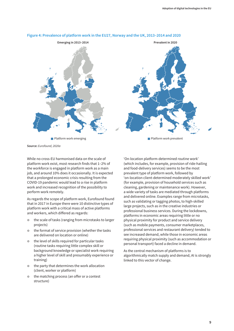

#### **Figure 4: Prevalence of platform work in the EU27, Norway and the UK, 2013–2014 and 2020**



**Source:** *Eurofound, 2020a*

While no cross-EU harmonised data on the scale of platform work exist, most research finds that 1–2% of the workforce is engaged in platform work as a main job, and around 10% does it occasionally. It is expected that a prolonged economic crisis resulting from the COVID-19 pandemic would lead to a rise in platform work and increased recognition of the possibility to perform work remotely.

As regards the scope of platform work, Eurofound found that in 2017 in Europe there were 10 distinctive types of platform work with a critical mass of active platforms and workers, which differed as regards:

- $\bullet$  the scale of tasks (ranging from microtasks to larger projects)
- the format of service provision (whether the tasks are delivered on location or online)
- the level of skills required for particular tasks (routine tasks requiring little complex skill or background knowledge or specialist work requiring a higher level of skill and presumably experience or training)
- o the party that determines the work allocation (client, worker or platform)
- the matching process (an offer or a contest structure)

'On-location platform-determined routine work' (which includes, for example, provision of ride-hailing and food-delivery services) seems to be the most prevalent type of platform work, followed by 'on-location client-determined moderately skilled work' (for example, provision of household services such as cleaning, gardening or maintenance work). However, a wide variety of tasks are mediated through platforms and delivered online. Examples range from microtasks, such as validating or tagging photos, to high-skilled large projects, such as in the creative industries or professional business services. During the lockdowns, platforms in economic areas requiring little or no physical proximity for product and service delivery (such as mobile payments, consumer marketplaces, professional services and restaurant delivery) tended to see increased demand, while those in economic areas requiring physical proximity (such as accommodation or personal transport) faced a decline in demand.

As the central mechanism of platforms is to algorithmically match supply and demand, AI is strongly linked to this vector of change.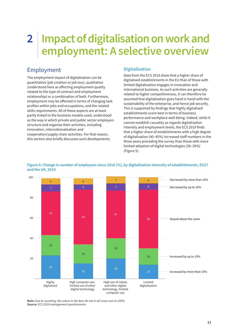# <span id="page-16-0"></span>**2 Impact of digitalisation on work and employment: A selective overview**

# Employment

The employment impact of digitalisation can be quantitative (job creation or job loss), qualitative (understood here as affecting employment quality related to the type of contract and employment relationship) or a combination of both. Furthermore, employment may be affected in terms of changing task profiles within jobs and occupations, and the related skills requirements. All of these aspects are at least partly linked to the business models used, understood as the way in which private and public sector employers structure and organise their activities, including innovation, internationalisation and cooperation/supply chain activities. For that reason, this section also briefly discusses such developments.

## **Digitalisation**

Data from the ECS 2019 show that a higher share of digitalised establishments in the EU than of those with limited digitalisation engages in innovation and international business. As such activities are generally related to higher competitiveness, it can therefore be assumed that digitalisation goes hand in hand with the sustainability of the enterprise, and hence job security. This is supported by findings that highly digitalised establishments score best in terms of business performance and workplace well-being. Indeed, while it cannot establish causality as regards digitalisation intensity and employment levels, the ECS 2019 finds that a higher share of establishments with a high degree of digitalisation (40–45%) increased staff numbers in the three years preceding the survey than those with more limited adoption of digital technologies (30–35%) (Figure 5).



## **Figure 5: Change in number of employees since 2016 (%), by digitalisation intensity of establishments, EU27 and the UK, 2019**

**Note:** *Due to rounding, the values in the bars do not in all cases sum to 100%.* **Source:** *ECS 2019 management questionnaire*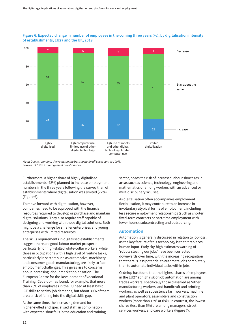

**Figure 6: Expected change in number of employees in the coming three years (%), by digitalisation intensity of establishments, EU27 and the UK, 2019** 

**Note:** *Due to rounding, the values in the bars do not in all cases sum to 100%.* **Source:** *ECS 2019 management questionnaire*

Furthermore, a higher share of highly digitalised establishments (42%) planned to increase employment numbers in the three years following the survey than of establishments where digitalisation was limited (22%) (Figure 6).

To move forward with digitalisation, however, companies need to be equipped with the financial resources required to develop or purchase and maintain digital solutions. They also require staff capable of designing and working with those digital solutions. Both might be a challenge for smaller enterprises and young enterprises with limited resources.

The skills requirements in digitalised establishments suggest there are good labour market prospects particularly for high-skilled white-collar workers, while those in occupations with a high level of routine tasks, particularly in sectors such as automotive, machinery and consumer goods manufacturing, are likely to face employment challenges. This gives rise to concerns about increasing labour market polarisation. The European Centre for the Development of Vocational Training (Cedefop) has found, for example, that more than 70% of employees in the EU need at least basic ICT skills to satisfy job demands, but about 30% of them are at risk of falling into the digital skills gap.

At the same time, the increasing demand for higher-skilled and specialised staff, in combination with expected shortfalls in the education and training sector, poses the risk of increased labour shortages in areas such as science, technology, engineering and mathematics or among workers with an advanced or multidisciplinary skill set.

As digitalisation often accompanies employment flexibilisation, it may contribute to an increase in involuntary atypical forms of employment, including less secure employment relationships (such as shorter fixed-term contracts or part-time employment with fewer hours), subcontracting and outsourcing.

## **Automation**

Automation is generally discussed in relation to job loss, as the key feature of this technology is that it replaces human input. Early sky-high estimates warning of 'robots stealing our jobs' have been corrected downwards over time, with the increasing recognition that there is less potential to automate jobs completely than to automate individual tasks within jobs.

Cedefop has found that the highest shares of employees in the EU27 at high risk of job automation are among trades workers, specifically those classified as 'other manufacturing workers' and handicraft and printing workers, as well as subsistence farmworkers, machine and plant operators, assemblers and construction workers (more than 15% at risk). In contrast, the lowest shares (less than 5%) are among managers, street services workers, and care workers (Figure 7).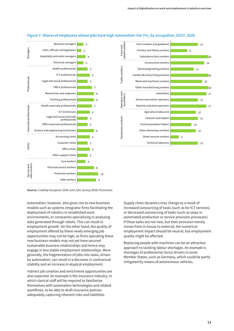

#### **Figure 7: Shares of employees whose jobs have high automation risk (%), by occupation, EU27, 2020**



**Source:** *Cedefop European Skills and Jobs Survey/Skills Panorama*

Automation, however, also gives rise to new business models such as systems integrator firms facilitating the deployment of robotics in established work environments, or companies specialising in analysing data generated through robots. This can result in employment growth. On the other hand, the quality of employment offered by these newly emerging job opportunities may not be high, as firms operating these new business models may not yet have secured sustainable business relationships and hence may engage in less stable employment relationships. More generally, the fragmentation of jobs into tasks, driven by automation, can result in a decrease in contractual stability and an increase in atypical employment.

Indirect job creation and enrichment opportunities are also expected. An example is the insurance industry, in which clerical staff will be required to familiarise themselves with automation technologies and related workflows, to be able to draft insurance policies adequately capturing inherent risks and liabilities.

Supply chain dynamics may change as a result of increased outsourcing of tasks (such as for ICT services) or decreased outsourcing of tasks (such as steps in automated production or service provision processes). If these tasks are not new, but their provision merely moves from in-house to external, the numerical employment impact should be neutral, but employment quality might be affected.

Replacing people with machines can be an attractive approach to tackling labour shortages. An example is shortages of professional (lorry) drivers in some Member States, such as Germany, which could be partly mitigated by means of autonomous vehicles.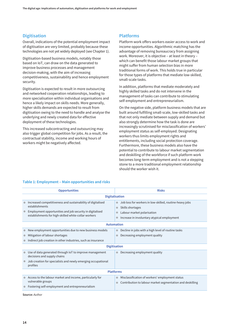## **Digitisation**

Overall, indications of the potential employment impact of digitisation are very limited, probably because these technologies are not yet widely deployed (see Chapter 1).

Digitisation-based business models, notably those based on IoT, can draw on the data generated to improve business processes and management decision-making, with the aim of increasing competitiveness, sustainability and hence employment security.

Digitisation is expected to result in more outsourcing and networked cooperation relationships, leading to more specialisation within individual organisations and hence a likely impact on skills needs. More generally, higher skills demands are expected to result from digitisation owing to the need to handle and analyse the underlying and newly created data for effective deployment of these technologies.

This increased subcontracting and outsourcing may also trigger global competition for jobs. As a result, the contractual stability, income and working hours of workers might be negatively affected.

## **Platforms**

Platform work offers workers easier access to work and income opportunities. Algorithmic matching has the advantage of removing bureaucracy from assigning work. Moreover, it is objective – at least in theory – which can benefit those labour market groups that might suffer from human selection bias in more traditional forms of work. This holds true in particular for those types of platforms that mediate low-skilled, small-scale tasks.

In addition, platforms that mediate moderately and highly skilled tasks and do not intervene in the management of tasks can contribute to stimulating self-employment and entrepreneurialism.

On the negative side, platform business models that are built around fulfilling small-scale, low-skilled tasks and that not only mediate between supply and demand but also strongly determine how the task is done are increasingly scrutinised for misclassification of workers' employment status as self-employed. Designating workers thus limits employment rights and entitlements, including social protection coverage. Furthermore, these business models also have the potential to contribute to labour market segmentation and deskilling of the workforce if such platform work becomes long-term employment and is not a stepping stone to a more traditional employment relationship should the worker wish it.

#### **Table 1: Employment – Main opportunities and risks**

| <b>Opportunities</b> |                                                                                                                                                                                                   | <b>Risks</b>                                                                                                                                                                                         |  |  |  |
|----------------------|---------------------------------------------------------------------------------------------------------------------------------------------------------------------------------------------------|------------------------------------------------------------------------------------------------------------------------------------------------------------------------------------------------------|--|--|--|
|                      | <b>Digitalisation</b>                                                                                                                                                                             |                                                                                                                                                                                                      |  |  |  |
| $\circ$<br>$\circ$   | Increased competitiveness and sustainability of digitalised<br>establishments<br>Employment opportunities and job security in digitalised<br>establishments for high-skilled white-collar workers | Job loss for workers in low-skilled, routine-heavy jobs<br>$\circ$<br>Skills shortages<br>$\circ$<br>Labour market polarisation<br>$\circ$<br>Increase in involuntary atypical employment<br>$\circ$ |  |  |  |
| <b>Automation</b>    |                                                                                                                                                                                                   |                                                                                                                                                                                                      |  |  |  |
| $\circ$              | New employment opportunities due to new business models                                                                                                                                           | Decline in jobs with a high level of routine tasks<br>$\circ$                                                                                                                                        |  |  |  |
| $\circ$<br>$\circ$   | Mitigation of labour shortages<br>Indirect job creation in other industries, such as insurance                                                                                                    | Decreasing employment quality<br>$\circ$                                                                                                                                                             |  |  |  |
| <b>Digitisation</b>  |                                                                                                                                                                                                   |                                                                                                                                                                                                      |  |  |  |
| $\circ$              | Use of data generated through IoT to improve management<br>decisions and supply chains                                                                                                            | Decreasing employment quality<br>$\circ$                                                                                                                                                             |  |  |  |
| $\circ$              | Job creation for specialists and newly emerging occupational<br>profiles                                                                                                                          |                                                                                                                                                                                                      |  |  |  |
| <b>Platforms</b>     |                                                                                                                                                                                                   |                                                                                                                                                                                                      |  |  |  |
| $\circ$<br>$\circ$   | Access to the labour market and income, particularly for<br>vulnerable groups<br>Fostering self-employment and entrepreneurialism                                                                 | Misclassification of workers' employment status<br>$\circ$<br>Contribution to labour market segmentation and deskilling<br>$\circ$                                                                   |  |  |  |

**Source:** *Author*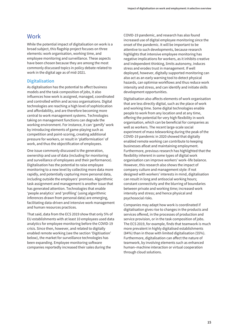# <span id="page-20-0"></span>Work

While the potential impact of digitalisation on work is a broad subject, this flagship project focuses on three elements: work organisation, working time, and employee monitoring and surveillance. These aspects have been chosen because they are among the most commonly discussed topics in policy debate related to work in the digital age as of mid-2021.

## **Digitalisation**

As digitalisation has the potential to affect business models and the task composition of jobs, it also influences how work is assigned, managed, coordinated and controlled within and across organisations. Digital technologies are reaching a high level of sophistication and affordability, and are therefore becoming more central to work management systems. Technologies taking on management functions can degrade the working environment. For instance, it can 'gamify' work by introducing elements of game-playing such as competition and point-scoring, creating additional pressure for workers, or result in 'platformisation' of work, and thus the objectification of employees.

One issue commonly discussed is the generation, ownership and use of data (including for monitoring and surveillance of employees and their performance). Digitalisation has the potential to raise employee monitoring to a new level by collecting more data more rapidly, and potentially capturing more personal data, including outside the employers' premises. Algorithmic task assignment and management is another issue that has generated attention. Technologies that enable 'people analytics' and 'profiling' (using algorithmic inferences drawn from personal data) are emerging, facilitating data-driven and intensive work management and human resources practices.

That said, data from the ECS 2019 show that only 5% of EU establishments with at least 10 employees used data analytics for employee monitoring before the COVID-19 crisis. Since then, however, and related to digitally enabled remote working (see the section 'Digitisation' below), the market for surveillance technologies has been expanding. Employee monitoring software companies reportedly increased their sales during the

COVID-19 pandemic, and research has also found increased use of digital employee monitoring since the onset of the pandemic. It will be important to be attentive to such developments, because research highlights that intensive employee monitoring has negative implications for workers, as it inhibits creative and independent thinking, limits autonomy, induces stress and erodes trust in management. If well deployed, however, digitally supported monitoring can also act as an early warning tool to detect physical hazards, can optimise workflows and thus reduce work intensity and stress, and can identify and initiate skills development opportunities.

Digitalisation also affects elements of work organisation that are less directly digital, such as the place of work and working time. Some digital technologies enable people to work from any location and at any time, offering the potential for very high flexibility in work organisation, which can be beneficial for companies as well as workers. The recent large-scale social experiment of mass teleworking during the peak of the COVID-19 pandemic in 2020 showed that digitally enabled remote working can contribute to keeping businesses afloat and maintaining employment. Furthermore, previous research has highlighted that the flexibility inherent in some types of digital work organisation can improve workers' work–life balance. However, this research also shows the impact of company culture and management style: if not designed with workers' interests in mind, digitalisation can result in long and antisocial working hours; constant connectivity and the blurring of boundaries between private and working time; increased work intensity and stress; and hence physical and psychosocial risks.

Companies may adapt how work is coordinated if digitalisation gives rise to changes in the products and services offered, in the processes of production and service provision, or in the task composition of jobs. The ECS 2019, for example, finds that teamwork is much more prevalent in highly digitalised establishments (84%) than in those with limited digitalisation (55%). Furthermore, digitalisation can affect the nature of teamwork, by involving elements such as enhanced human–machine interaction or virtual cooperation through cloud solutions.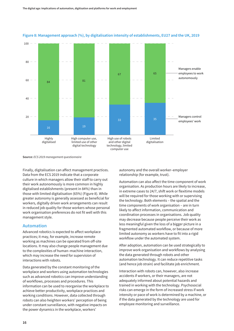

#### **Figure 8: Management approach (%), by digitalisation intensity of establishments, EU27 and the UK, 2019**

**Source:** *ECS 2019 management questionnaire*

Finally, digitalisation can affect management practices. Data from the ECS 2019 indicate that a corporate culture in which managers allow their staff to carry out their work autonomously is more common in highly digitalised establishments (present in 84%) than in those with limited digitalisation (65%) (Figure 8). While greater autonomy is generally assessed as beneficial for workers, digitally driven work arrangements can result in reduced job quality for those workers whose personal work organisation preferences do not fit well with this management style.

#### **Automation**

Advanced robotics is expected to affect workplace practices; it may, for example, increase remote working as machines can be operated from off-site locations. It may also change people management due to the complexities of human–machine interaction, which may increase the need for supervision of interactions with robots.

Data generated by the constant monitoring of the workplace and workers using automation technologies such as advanced robotics can improve understanding of workflows, processes and procedures. This information can be used to reorganise the workplace to achieve better productivity, workplace practices and working conditions. However, data collected through robots can also heighten workers' perception of being under constant surveillance, with negative impacts on the power dynamics in the workplace, workers'

autonomy and the overall worker–employer relationship (for example, trust).

Automation can also affect the time component of work organisation. As production hours are likely to increase, in extreme cases to 24/7, shift work or flexitime models will be required for those working with or supervising the technology. Both elements – the spatial and the time components of work organisation – are in turn likely to affect information, communication and coordination processes in organisations. Job quality may decrease because people perceive their work as less meaningful given the loss of a bigger picture in a fragmented automated workflow, or because of more limited autonomy as workers have to fit into a rigid workflow under the automated system.

After adoption, automation can be used strategically to improve work organisation and workflows by analysing the data generated through robots and other automation technology. It can reduce repetitive tasks (and hence job strain) and facilitate job enrichment.

Interaction with robots can, however, also increase accidents if workers, or their managers, are not adequately informed about potential hazards and trained in working with the technology. Psychosocial risks can emerge in the form of increased stress if work intensity or pace of work is determined by a machine, or if the data generated by the technology are used for employee monitoring and surveillance.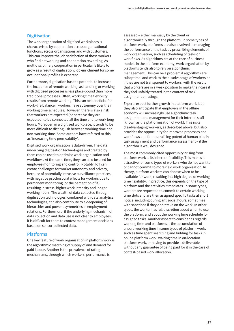## **Digitisation**

The work organisation of digitised workplaces is characterised by cooperation across organisational functions, across organisations and with customers. This can improve the job satisfaction of those workers who find networking and cooperation rewarding. As multidisciplinary cooperation in particular is likely to grow as a result of digitisation, job enrichment for some occupational profiles is expected.

Furthermore, digitisation has the potential to increase the incidence of remote working, as handling or working with digitised processes is less place-bound than more traditional processes. Often, working time flexibility results from remote working. This can be beneficial for work–life balance if workers have autonomy over their working time schedules. However, there is also a risk that workers are expected (or perceive they are expected) to be connected all the time and to work long hours. Moreover, in a digitised workplace, it tends to be more difficult to distinguish between working time and non-working time. Some authors have referred to this as 'increasing time permeability'.

Digitised work organisation is data-driven. The data underlying digitisation technologies and created by them can be used to optimise work organisation and workflows. At the same time, they can also be used for employee monitoring and control. Notably, IoT can create challenges for worker autonomy and privacy, because of potentially intrusive surveillance practices, with negative psychosocial effects for workers due to permanent monitoring (or the perception of it), resulting in stress, higher work intensity and longer working hours. The wealth of data collected through digitisation technologies, combined with data analytics technologies, can also contribute to a deepening of hierarchies and power asymmetries in employment relations. Furthermore, if the underlying mechanism of data collection and data use is not clear to employees, it is difficult for them to contest management decisions based on sensor-collected data.

## **Platforms**

One key feature of work organisation in platform work is the algorithmic matching of supply of and demand for paid labour. Another is the prevalence of rating mechanisms, through which workers' performance is

assessed – either manually by the client or algorithmically through the platform. In some types of platform work, platforms are also involved in managing the performance of the task by prescribing elements of work organisation, such as scheduling of tasks or workflows. As algorithms are at the core of business models in the platform economy, work organisation by platforms tends also to rely on algorithmic management. This can be a problem if algorithms are suboptimal and work to the disadvantage of workers or if they are not transparent to workers, with the result that workers are in a weak position to make their case if they feel unfairly treated in the context of task assignment or ratings.

Experts expect further growth in platform work, but they also anticipate that employers in the offline economy will increasingly use algorithmic task assignment and management for their internal staff (known as the platformisation of work). This risks disadvantaging workers, as described above, but also provides the opportunity for improved processes and workflows and for neutralising potential human bias in task assignment and performance assessment – if the algorithm is well designed.

The most commonly cited opportunity arising from platform work is its inherent flexibility. This makes it attractive for some types of workers who do not want to or cannot commit to more rigid work organisation. In theory, platform workers can choose when to be available for work, resulting in a high degree of working time flexibility. In practice, this depends on the type of platform and the activities it mediates. In some types, workers are requested to commit to certain working time slots and are then assigned specific tasks at short notice, including during antisocial hours, sometimes with sanctions if they don't take on the work. In other types, the worker has full discretion about when to use the platform, and about the working time schedule for assigned tasks. Another aspect to consider as regards working time and platforms is the accumulation of unpaid working time in some types of platform work, such as time spent searching and bidding for tasks in online platform work, waiting time in on-location platform work, or having to provide a deliverable without any guarantee of being paid for it in the case of contest-based work allocation.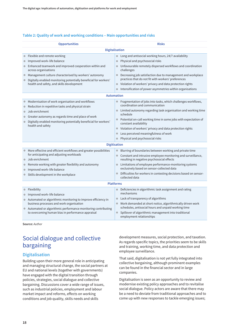| <b>Opportunities</b>                     |                                                                                                                                             | <b>Risks</b> |                                                                                                                    |  |  |
|------------------------------------------|---------------------------------------------------------------------------------------------------------------------------------------------|--------------|--------------------------------------------------------------------------------------------------------------------|--|--|
| <b>Digitalisation</b>                    |                                                                                                                                             |              |                                                                                                                    |  |  |
|                                          | • Flexible and remote working                                                                                                               |              | • Long and antisocial working hours, 24/7 availability                                                             |  |  |
| $\circ$                                  | Improved work-life balance                                                                                                                  | $\circ$      | Physical and psychosocial risks                                                                                    |  |  |
| $\circ$                                  | Enhanced teamwork and improved cooperation within and<br>across organisations                                                               | $\circ$      | Unfavourable remotely dispersed workflows and coordination<br>challenges                                           |  |  |
| $\circ$<br>$\circ$                       | Management culture characterised by workers' autonomy<br>Digitally enabled monitoring potentially beneficial for workers'                   | $\circ$      | Decreasing job satisfaction due to management and workplace<br>practices that do not fit with workers' preferences |  |  |
|                                          | health and safety, and skills development                                                                                                   |              | • Violation of workers' privacy and data protection rights                                                         |  |  |
|                                          |                                                                                                                                             |              | • Intensification of power asymmetries within organisations                                                        |  |  |
| <b>Automation</b>                        |                                                                                                                                             |              |                                                                                                                    |  |  |
| $\circ$<br>$\circ$                       | Modernisation of work organisation and workflows<br>Reduction in repetitive tasks and physical strain                                       |              | • Fragmentation of jobs into tasks, which challenges workflows,<br>coordination and communication                  |  |  |
| $\circ$<br>$\circ$                       | Job enrichment                                                                                                                              |              | • Limited autonomy regarding task organisation and working time<br>schedule                                        |  |  |
| $\circ$                                  | Greater autonomy as regards time and place of work<br>Digitally enabled monitoring potentially beneficial for workers'<br>health and safety |              | • Potential on-call working time in some jobs with expectation of<br>constant availability                         |  |  |
|                                          |                                                                                                                                             |              | • Violation of workers' privacy and data protection rights                                                         |  |  |
|                                          |                                                                                                                                             | $\circ$      | Less perceived meaningfulness of work                                                                              |  |  |
|                                          |                                                                                                                                             | $\circ$      | Physical and psychosocial risks                                                                                    |  |  |
|                                          | <b>Digitisation</b>                                                                                                                         |              |                                                                                                                    |  |  |
|                                          | • More effective and efficient workflows and greater possibilities                                                                          | $\circ$      | Blurring of boundaries between working and private time                                                            |  |  |
| $\circ$                                  | for anticipating and adjusting workloads<br>Job enrichment                                                                                  | $\circ$      | Constant and intrusive employee monitoring and surveillance,<br>resulting in negative psychosocial effects         |  |  |
| $\circ$                                  | Remote working with greater flexibility and autonomy                                                                                        | $\circ$      | Limitations of employee performance-monitoring systems                                                             |  |  |
| $\circ$                                  | Improved work-life balance                                                                                                                  |              | exclusively based on sensor-collected data                                                                         |  |  |
| $\circ$                                  | Skills development in the workplace                                                                                                         | $\circ$      | Difficulties for workers in contesting decisions based on sensor-<br>collected data                                |  |  |
| <b>Platforms</b>                         |                                                                                                                                             |              |                                                                                                                    |  |  |
| $\circ$                                  | Flexibility                                                                                                                                 | $\circ$      | Deficiencies in algorithmic task assignment and rating<br>mechanisms                                               |  |  |
| $\circ$                                  | Improved work-life balance                                                                                                                  |              |                                                                                                                    |  |  |
|                                          | • Automated or algorithmic monitoring to improve efficiency in                                                                              | $\circ$      | Lack of transparency of algorithms                                                                                 |  |  |
| business processes and work organisation |                                                                                                                                             | $\circ$      | Work demanded at short notice, algorithmically driven work<br>schedules, antisocial hours and unpaid working time  |  |  |
| $\circ$                                  | Automated or algorithmic performance monitoring contributing<br>to overcoming human bias in performance appraisal                           | $\circ$      | Spillover of algorithmic management into traditional<br>employment relationships                                   |  |  |

### <span id="page-23-0"></span>**Table 2: Quality of work and working conditions – Main opportunities and risks**

**Source:** *Author*

# Social dialogue and collective bargaining

## **Digitalisation**

Building upon their more general role in anticipating and managing structural change, the social partners at EU and national levels (together with governments) have engaged with the digital transition through policies, strategies, social dialogue and collective bargaining. Discussions cover a wide range of issues, such as industrial policies, employment and labour market impact and reforms, effects on working conditions and job quality, skills needs and skills

development measures, social protection, and taxation. As regards specific topics, the priorities seem to be skills and training, working time, and data protection and employee surveillance.

That said, digitalisation is not yet fully integrated into collective bargaining, although prominent examples can be found in the financial sector and in large companies.

Digitalisation is seen as an opportunity to review and modernise existing policy approaches and to revitalise social dialogue. Policy actors are aware that there may be a need to deviate from traditional approaches and to come up with new responses to tackle emerging issues;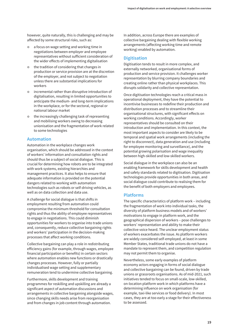however, quite naturally, this is challenging and may be affected by some structural risks, such as:

- a focus on wage setting and working time in negotiations between employer and employee representatives without sufficient consideration of the wider effects of implementing digitalisation
- the tradition of considering that changes in production or service provision are at the discretion of the employer, and not subject to negotiation unless there are substantial implications for workers
- incremental rather than disruptive introduction of digitalisation, resulting in limited opportunities to anticipate the medium- and long-term implications in the workplace, or for the sectoral, regional or national labour market
- the increasingly challenging task of representing and mobilising workers owing to decreasing unionisation and the fragmentation of work related to some technologies

### **Automation**

Automation in the workplace changes work organisation, which should be addressed in the context of workers' information and consultation rights and should thus be a subject of social dialogue. This is crucial for determining how robots are to be integrated with work systems, existing hierarchies and management practices. It also helps to ensure that adequate information is provided on the potential dangers related to working with automation technologies such as robots or self-driving vehicles, as well as on data collection and data use.

A challenge for social dialogue is that shifts in employment resulting from automation could compromise the minimum threshold for consultation rights and thus the ability of employee representatives to engage in negotiations. This could diminish opportunities for workers to organise into trade unions and, consequently, reduce collective bargaining rights and workers' participation in the decision-making processes that affect working conditions.

Collective bargaining can play a role in redistributing efficiency gains (for example, through wages, employee financial participation or benefits) in certain sectors where automation enables new functions or drastically changes processes. However, fully or partially individualised wage setting and supplementary remuneration tend to undermine collective bargaining.

Furthermore, skills development and training programmes for reskilling and upskilling are already a significant aspect of automation discussions and arrangements in collective bargaining alongside wages, since changing skills needs arise from reorganisation and from changes in job content through automation.

In addition, across Europe there are examples of collective bargaining dealing with flexible working arrangements (affecting working time and remote working) enabled by automation.

## **Digitisation**

Digitisation tends to result in more complex, and externally networked, organisational forms of production and service provision. It challenges worker representation by blurring company boundaries and creating online rather than physical workplaces. This disrupts solidarity and collective representation.

Once digitisation technologies reach a critical mass in operational deployment, they have the potential to incentivise businesses to redefine their production and distribution processes and to streamline their organisational structures, with significant effects on working conditions. Accordingly, worker representatives should be consulted on their introduction and implementation. In this context, the most important aspects to consider are likely to be temporal and spatial work arrangements (including the right to disconnect), data generation and use (including for employee monitoring and surveillance), and the potential growing polarisation and wage inequality between high-skilled and low-skilled workers.

Social dialogue in the workplace can also be an enabling framework for skills development and health and safety standards related to digitisation. Digitisation technologies provide opportunities in both areas, and social dialogue could contribute to realising them for the benefit of both employers and employees.

## **Platforms**

The specific characteristics of platform work – including the fragmentation of work into individual tasks, the diversity of platform business models and of workers' motivations to engage in platform work, and the geographical dispersion of workers – pose challenges to workers' representation and ability to make their collective voice heard. The unclear employment status of workers exacerbates the issue. As platform workers are widely considered self-employed, at least in some Member States, traditional trade unions do not have a mandate to represent them, and competition regulation may not permit them to organise.

Nevertheless, some early examples of platform economy actors engaging in forms of social dialogue and collective bargaining can be found, driven by trade unions or grassroots organisations. As of mid-2021, such initiatives tended to focus on small-scale, low-skilled, on-location platform work in which platforms have a determining influence on work organisation (for example, taxi-like services or food delivery). In most cases, they are at too early a stage for their effectiveness to be assessed.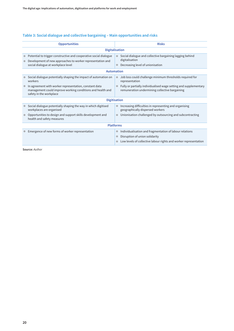| <b>Opportunities</b>                                                                                                                                                                  | <b>Risks</b>                                                                                                                                                                                   |  |  |  |  |
|---------------------------------------------------------------------------------------------------------------------------------------------------------------------------------------|------------------------------------------------------------------------------------------------------------------------------------------------------------------------------------------------|--|--|--|--|
| <b>Digitalisation</b>                                                                                                                                                                 |                                                                                                                                                                                                |  |  |  |  |
| Potential to trigger constructive and cooperative social dialogue<br>$\circ$<br>Development of new approaches to worker representation and<br>o<br>social dialogue at workplace level | Social dialogue and collective bargaining lagging behind<br>$\circ$<br>digitalisation<br>Decreasing level of unionisation<br>$\circ$                                                           |  |  |  |  |
| <b>Automation</b>                                                                                                                                                                     |                                                                                                                                                                                                |  |  |  |  |
| Social dialogue potentially shaping the impact of automation on<br>$\circ$<br>workers                                                                                                 | Job loss could challenge minimum thresholds required for<br>$\circ$<br>representation                                                                                                          |  |  |  |  |
| In agreement with worker representation, constant data<br>$\circ$<br>management could improve working conditions and health and<br>safety in the workplace                            | Fully or partially individualised wage setting and supplementary<br>$\circ$<br>remuneration undermining collective bargaining                                                                  |  |  |  |  |
| <b>Digitisation</b>                                                                                                                                                                   |                                                                                                                                                                                                |  |  |  |  |
| Social dialogue potentially shaping the way in which digitised<br>$\circ$<br>workplaces are organised                                                                                 | Increasing difficulties in representing and organising<br>$\circ$<br>geographically dispersed workers                                                                                          |  |  |  |  |
| Opportunities to design and support skills development and<br>$\circ$<br>health and safety measures                                                                                   | Unionisation challenged by outsourcing and subcontracting<br>$\circ$                                                                                                                           |  |  |  |  |
| <b>Platforms</b>                                                                                                                                                                      |                                                                                                                                                                                                |  |  |  |  |
| Emergence of new forms of worker representation                                                                                                                                       | Individualisation and fragmentation of labour relations<br>$\circ$<br>Disruption of union solidarity<br>$\circ$<br>Low levels of collective labour rights and worker representation<br>$\circ$ |  |  |  |  |

## **Table 3: Social dialogue and collective bargaining – Main opportunities and risks**

**Source:** *Author*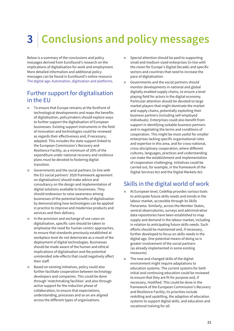# <span id="page-26-0"></span>**3 Conclusions and policy messages**

Below is a summary of the conclusions and policy messages derived from Eurofound's research on the implications of digitalisation for work and employment. More detailed information and additional policy messages can be found in Eurofound's online resource [The digital age: Automation, digitisation and platforms.](https://www.eurofound.europa.eu/data/digitalisation)

# Further support for digitalisation in the EU

- To ensure that Europe remains at the forefront of technological developments and reaps the benefits of digitalisation, policymakers should explore ways to further support the digitalisation of European businesses. Existing support instruments in the field of innovation and technologies could be reviewed as regards their effectiveness and, if necessary, adapted. This includes the state support linked to the European Commission's Recovery and Resilience Facility, as a minimum of 20% of the expenditure under national recovery and resilience plans must be devoted to fostering digital transition.
- Governments and the social partners (in line with the EU social partners' 2020 framework agreement on digitalisation) should make advice and consultancy on the design and implementation of digital solutions available to businesses. They should endeavour to raise awareness among businesses of the potential benefits of digitalisation by demonstrating how technologies can be applied in practice to improve and modernise products and services and their delivery.
- o In the provision and exchange of use cases on digitalisation, specific care should be taken to emphasise the need for human-centric approaches, to ensure that standards previously established at workplace level do not deteriorate as a result of the deployment of digital technologies. Businesses should be made aware of the human and ethical implications of digitalisation and the potential unintended side-effects that could negatively affect their staff.
- Based on existing initiatives, policy could also further facilitate cooperation between technology developers and companies. This could be done through 'matchmaking facilities' and also through active support for the induction phase of collaboration, to ensure that expectations, understanding, processes and so on are aligned across the different types of organisations.
- **•** Special attention should be paid to supporting small and medium-sized enterprises (in line with the vision for Europe's Digital Decade) and specific sectors and countries that need to increase the pace of digitalisation.
- **•** Governments and the social partners should monitor developments in national and global digitally enabled supply chains, to ensure a level playing field for actors in the digital economy. Particular attention should be devoted to large market players that might dominate the market and supply chains, potentially exploiting their business partners (including self-employed individuals). Enterprises could also benefit from support in identifying suitable business partners and in negotiating the terms and conditions of cooperation. This might be most useful for smaller enterprises lacking specific organisational roles and expertise in this area, and for cross-national, cross-disciplinary cooperation, where different cultures, languages, practices and understanding can make the establishment and implementation of cooperation challenging. Initiatives could be carried out, for example, in the framework of the Digital Services Act and the Digital Markets Act.

# Skills in the digital world of work

- At European level, Cedefop provides various tools to anticipate future skills needs and trends in the labour market, accessible through its Skills Panorama. Similarly, across the Member States, several observatories, surveys and administrative data repositories have been established to map supply and demand in the labour market, including in relation to anticipating future skills needs. Such efforts should be maintained and, if necessary, further developed to focus on skills needs in the digital age. One potential means of doing so is greater involvement of the social partners (as already implemented in some existing measures).
- The new and changed skills of the digital environment might require adaptations to education systems. The current systems for both initial and continuing education could be reviewed to ensure that they are fit for purpose and, if necessary, modified. This could be done in the framework of the European Commission's Recovery and Resilience Facility; its priorities include reskilling and upskilling, the adaption of education systems to support digital skills, and education and vocational training for all.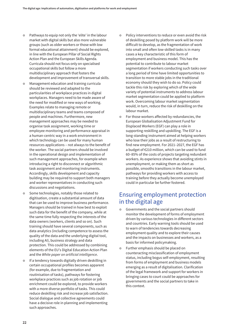- <span id="page-27-0"></span>**•** Pathways to equip not only the 'elite' in the labour market with digital skills but also more vulnerable groups (such as older workers or those with low formal educational attainment) should be explored, in line with the European Pillar of Social Rights Action Plan and the European Skills Agenda. Curricula should not focus only on specialised occupational skills but follow a more multidisciplinary approach that fosters the development and improvement of transversal skills.
- **•** Management education and training curricula should be reviewed and adapted to the particularities of workplace practices in digital workplaces. Managers need to be made aware of the need for modified or new ways of working. Examples relate to managing remote or multidisciplinary teams and teams composed of people and machines. Furthermore, new management approaches may be needed to organise task assignment, working time or employee monitoring and performance appraisal in a human-centric way in a work environment in which technology can be used for many human resources applications – not always to the benefit of the worker. The social partners should be involved in the operational design and implementation of such management approaches, for example when introducing a right to disconnect or algorithmic task assignment and monitoring instruments. Accordingly, skills development and capacity building may be required to support both managers and worker representatives in conducting such discussions and negotiations.
- **o** Some technologies, notably those related to digitisation, create a substantial amount of data that can be used to improve business performance. Managers should be trained in how best to exploit such data for the benefit of the company, while at the same time fully respecting the interests of the data owners (workers, clients and so on). Such training should have several components, such as data analytics (including competence to assess the quality of the data and the underlying digital tool, including AI), business strategy and data protection. This could be addressed by combining elements of the EU's Digital Education Action Plan and the *White paper on artificial intelligence*.
- **•** If a tendency towards digitally driven deskilling in certain occupational profiles becomes apparent (for example, due to fragmentation and routinisation of tasks), pathways for fostering workplace practices such as job rotation or job enrichment could be explored, to provide workers with a more diverse portfolio of tasks. This could reduce deskilling risk and increase job satisfaction. Social dialogue and collective agreements could have a decisive role in planning and implementing such approaches.
- Policy interventions to reduce or even avoid the risk of deskilling posed by platform work will be more difficult to develop, as the fragmentation of work into small and often low-skilled tasks is in many cases a key characteristic of this form of employment and business model. This has the potential to contribute to labour market segmentation if workers conducting such tasks over a long period of time have limited opportunities to transition to more stable jobs in the traditional economy should they wish to do so. Policy could tackle this risk by exploring which of the wide variety of potential instruments to address labour market segmentation could be applied to platform work. Overcoming labour market segmentation would, in turn, reduce the risk of deskilling on the labour market.
- For those workers affected by redundancies, the European Globalisation Adjustment Fund for Displaced Workers (EGF) can play a role in supporting reskilling and upskilling. The EGF is a long-standing instrument aimed at helping workers who lose their jobs as a result of restructuring to find new employment. For 2021–2027, the EGF has a budget of €210 million, which can be used to fund 60–85% of the costs of projects targeting redundant workers. As experience shows that avoiding stints in unemployment, or making them as short as possible, smooths transitions in the labour market, pathways for providing workers with access to training before they actually become unemployed could in particular be further fostered.

# Ensuring employment protection in the digital age

- Governments and the social partners should monitor the development of forms of employment driven by various technologies in different sectors and countries. Early warning tools should be used to warn of tendencies towards decreasing employment quality and to explore their causes and the impacts on businesses and workers, as a basis for informed policymaking.
- **•** Further emphasis should be placed on counteracting misclassification of employment status, including bogus self-employment, resulting from forms of employment and business models emerging as a result of digitalisation. Clarification of the legal framework and support for workers in bringing cases to court could be approaches for governments and the social partners to take in this context.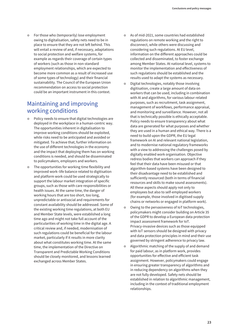<span id="page-28-0"></span>• For those who (temporarily) lose employment owing to digitalisation, safety nets need to be in place to ensure that they are not left behind. This will entail a review of and, if necessary, adaptations to social protection and welfare systems, for example as regards their coverage of certain types of workers (such as those in non-standard employment relationships, which are expected to become more common as a result of increased use of some types of technology) and their financial sustainability. The Council of the European Union recommendation on access to social protection could be an important instrument in this context.

# Maintaining and improving working conditions

- Policy needs to ensure that digital technologies are deployed in the workplace in a human-centric way. The opportunities inherent in digitalisation to improve working conditions should be exploited, while risks need to be anticipated and avoided or mitigated. To achieve that, further information on the use of different technologies in the economy and the impact that deploying them has on working conditions is needed, and should be disseminated to policymakers, employers and workers.
- The opportunities for working time flexibility and improved work–life balance related to digitisation and platform work could be used strategically to support the labour market integration of specific groups, such as those with care responsibilities or health issues. At the same time, the danger of working hours that are too short, too long, unpredictable or antisocial and requirements for constant availability should be addressed. Some of the existing working time regulations, at both EU and Member State levels, were established a long time ago and might not take full account of the particularities of working time in the digital age. A critical review and, if needed, modernisation of such regulations could be beneficial for the labour market, particularly if it results in more clarity about what constitutes working time. At the same time, the implementation of the Directive on Transparent and Predictable Working Conditions should be closely monitored, and lessons learned exchanged across Member States.
- As of mid-2021, some countries had established regulations on remote working and the right to disconnect, while others were discussing and considering such regulations. At EU level, information on the different approaches could be collected and disseminated, to foster exchange among Member States. At national level, systems to monitor the implementation and effectiveness of such regulations should be established and the results used to adapt the systems as necessary.
- $\bullet$  Digital technologies, notably those involving digitisation, create a large amount of data on workers that can be used, including in combination with AI and algorithms, for various labour-related purposes, such as recruitment, task assignment, management of workflows, performance appraisal, and monitoring and surveillance. However, not all that is technically possible is ethically acceptable. Policy needs to ensure transparency about what data are generated for what purposes and whether they are used in a human and ethical way. There is a need to build upon the GDPR, the EU legal framework on AI and relevant national legislation, and to modernise national regulatory frameworks with a view to addressing the challenges posed by digitally enabled work organisation. Objective redress bodies that workers can approach if they feel that their data have been misused or that algorithm-based systems have been designed to their disadvantage need to be established and sufficiently resourced (both in terms of financial resources and skills to make sound assessments). All these aspects should apply not only to employees but also to self-employed workers (for example, those involved in digitised supply chains or networks or engaged in platform work).
- **•** Owing to the pervasiveness of IoT technologies, policymakers might consider building on Article 35 of the GDPR to develop a European data protection impact assessment framework for IoT. Privacy-invasive devices such as those equipped with IoT sensors should be designed with privacy and data protection principles in mind and their use governed by stringent adherence to privacy law.
- Algorithmic matching of the supply of and demand for paid labour, as in platform work, provides opportunities for effective and efficient task assignment. However, policymakers could engage in ensuring greater transparency of algorithms and in reducing dependency on algorithms when they are not fully developed. Safety nets should be established in relation to algorithmic management, including in the context of traditional employment relationships.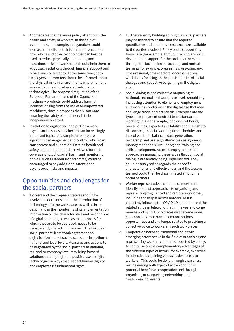- <span id="page-29-0"></span>• Another area that deserves policy attention is the health and safety of workers. In the field of automation, for example, policymakers could increase their efforts to inform employers about how robots and other technologies can best be used to reduce physically demanding and hazardous tasks for workers and could help them to adopt such solutions through financial support and advice and consultancy. At the same time, both employers and workers should be informed about the physical risks in environments where humans work with or next to advanced automation technologies. The proposed regulation of the European Parliament and of the Council on machinery products could address harmful incidents arising from the use of AI-empowered machinery, since it proposes that AI software ensuring the safety of machinery is to be independently vetted.
- o In relation to digitisation and platform work, psychosocial issues may become an increasingly important topic, for example in relation to algorithmic management and control, which can cause stress and alienation. Existing health and safety regulations should be reviewed for their coverage of psychosocial harm, and monitoring bodies (such as labour inspectorates) could be encouraged to pay additional attention to psychosocial risks and impacts.

# Opportunities and challenges for the social partners

Workers and their representatives should be involved in decisions about the introduction of technology into the workplace, as well as in its design and in the monitoring of its implementation. Information on the characteristics and mechanisms of digital solutions, as well as the purposes for which they are to be deployed, needs to be transparently shared with workers. The European social partners' framework agreement on digitalisation has set such discussions in motion at national and local levels. Measures and actions to be negotiated by the social partners at national, regional or company level may bring forward solutions that highlight the positive use of digital technologies in ways that respect human dignity and employees' fundamental rights.

- £ Further capacity building among the social partners may be needed to ensure that the required quantitative and qualitative resources are available to the parties involved. Policy could support this financially (for example, through training and skills development support for the social partners) or through the facilitation of exchange and mutual learning (for example, organising cross-company, cross-regional, cross-sectoral or cross-national workshops focusing on the particularities of social dialogue and collective bargaining in the digital age).
- **•** Social dialogue and collective bargaining at national, sectoral and workplace levels should pay increasing attention to elements of employment and working conditions in the digital age that may challenge traditional standards. Examples are the type of employment contract (non-standard); working time (for example, long or short hours, on-call duties, expected availability and the right to disconnect, unsocial working time schedules and lack of work–life balance); data generation, ownership and use; algorithmic task assignment, management and surveillance; and training and skills development. Across Europe, some such approaches managing these issues through social dialogue are already being implemented. They could be analysed as regards their specific characteristics and effectiveness, and the lessons learned could then be disseminated among the social partners.
- Worker representatives could be supported to identify and test approaches to organising and representing fragmented and remote workforces, including those split across borders. As it is expected, following the COVID-19 pandemic and the related surge in telework, that in the years to come remote and hybrid workplaces will become more common, it is important to explore options, opportunities and challenges related to providing a collective voice to workers in such workplaces.
- **•** Cooperation between traditional and newly emerging actors active in the field of organising and representing workers could be supported by policy, to capitalise on the complementary advantages of the different types of actors (for example, expertise in collective bargaining versus easier access to workers). This could be done through awarenessraising among both types of actors about the potential benefits of cooperation and through organising or supporting networking and 'matchmaking' events.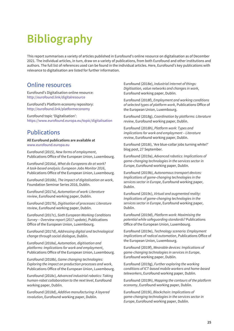# <span id="page-30-0"></span>**Bibliography**

This report summarises a variety of articles published in Eurofound's online resource on digitalisation as of December 2021. The individual articles, in turn, draw on a variety of publications, from both Eurofound and other institutions and authors. The full list of references used can be found in the individual articles. Here, Eurofound's key publications with relevance to digitalisation are listed for further information.

# Online resources

Eurofound's Digitalisation online resource: <http://eurofound.link/digitalresource>

Eurofound's Platform economy repository: <http://eurofound.link/platformeconomy>

Eurofound topic 'Digitalisation': <https://www.eurofound.europa.eu/topic/digitalisation>

# **Publications**

**All Eurofound publications are available at** [www.eurofound.europa.eu](http://www.eurofound.europa.eu)

Eurofound (2015), *New forms of employment*, Publications Office of the European Union, Luxembourg.

Eurofound (2016a), *What do Europeans do at work? A task-based analysis: European Jobs Monitor 2016*, Publications Office of the European Union, Luxembourg.

Eurofound (2016b), *The impact of digitalisation on work*, Foundation Seminar Series 2016, Dublin.

Eurofound (2017a), *Automation of work: Literature review*, Eurofound working paper, Dublin.

Eurofound (2017b), *Digitisation of processes: Literature review*, Eurofound working paper, Dublin.

Eurofound (2017c), *Sixth European Working Conditions Survey – Overview report (2017 update),* Publications Office of the European Union, Luxembourg.

Eurofound (2017d), *Addressing digital and technological change through social dialogue*, Dublin.

Eurofound (2018a), *Automation, digitisation and platforms: Implications for work and employment*, Publications Office of the European Union, Luxembourg.

Eurofound (2018b), *Game changing technologies: Exploring the impact on production processes and work*, Publications Office of the European Union, Luxembourg.

Eurofound (2018c), *Advanced industrial robotics: Taking human-robot collaboration to the next level*, Eurofound working paper, Dublin.

Eurofound (2018d), *Additive manufacturing: A layered revolution*, Eurofound working paper, Dublin.

Eurofound (2018e), *Industrial internet of things: Digitisation, value networks and changes in work*, Eurofound working paper, Dublin.

Eurofound (2018f), *Employment and working conditions of selected types of platform work*, Publications Office of the European Union, Luxembourg.

Eurofound (2018g), *Coordination by platforms: Literature review*, Eurofound working paper, Dublin.

Eurofound (2018h), *Platform work: Types and implications for work and employment – Literature review*, Eurofound working paper, Dublin.

Eurofound (2018i), 'Are blue-collar jobs turning white?' blog post, 27 September.

Eurofound (2019a), *Advanced robotics: Implications of game-changing technologies in the services sector in Europe*, Eurofound working paper, Dublin.

Eurofound (2019b), *Autonomous transport devices: Implications of game-changing technologies in the services sector in Europe*, Eurofound working paper, Dublin.

Eurofound (2019c), *Virtual and augmented reality: Implications of game-changing technologies in the services sector in Europe*, Eurofound working paper, Dublin.

Eurofound (2019d), *Platform work: Maximising the potential while safeguarding standards?* Publications Office of the European Union, Luxembourg.

Eurofound (2019e), *Technology scenario: Employment implications of radical automation*, Publications Office of the European Union, Luxembourg.

Eurofound (2019f), *Wearable devices: Implications of game-changing technologies in services in Europe*, Eurofound working paper, Dublin.

Eurofound (2019g), *Further exploring the working conditions of ICT-based mobile workers and home-based teleworkers*, Eurofound working paper, Dublin.

Eurofound (2019h), *Mapping the contours of the platform economy*, Eurofound working paper, Dublin.

Eurofound (2019i), *Blockchain: Implications of game-changing technologies in the services sector in Europe*, Eurofound working paper, Dublin.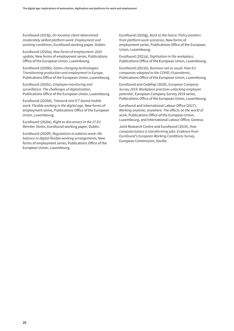Eurofound (2019j), *On-location client-determined moderately skilled platform work: Employment and working conditions*, Eurofound working paper, Dublin.

Eurofound (2020a), *New forms of employment: 2020 update,* New forms of employment series, Publications Office of the European Union, Luxembourg.

Eurofound (2020b), *Game-changing technologies: Transforming production and employment in Europe*, Publications Office of the European Union, Luxembourg.

Eurofound (2020c), *Employee monitoring and surveillance: The challenges of digitalisation*, Publications Office of the European Union, Luxembourg.

Eurofound (2020d), *Telework and ICT-based mobile work: Flexible working in the digital age*, New forms of employment series, Publications Office of the European Union, Luxembourg.

Eurofound (2020e), *Right to disconnect in the 27 EU Member States*, Eurofound working paper, Dublin.

Eurofound (2020f), *Regulations to address work–life balance in digital flexible working arrangements*, New forms of employment series, Publications Office of the European Union, Luxembourg.

Eurofound (2020g), *Back to the future: Policy pointers from platform work scenarios*, New forms of employment series, Publications Office of the European Union, Luxembourg.

Eurofound (2021a), *Digitisation in the workplace,* Publications Office of the European Union, Luxembourg.

Eurofound (2021b), *Business not as usual: How EU companies adapted to the COVID-19 pandemic*, Publications Office of the European Union, Luxembourg.

Eurofound and Cedefop (2020), *European Company Survey 2019: Workplace practices unlocking employee potential*, European Company Survey 2019 series, Publications Office of the European Union, Luxembourg.

Eurofound and International Labour Office (2017), *Working anytime, anywhere: The effects on the world of work*, Publications Office of the European Union, Luxembourg, and International Labour Office, Geneva.

Joint Research Centre and Eurofound (2019), *How computerisation is transforming jobs: Evidence from Eurofound's European Working Conditions Survey*, European Commission, Seville.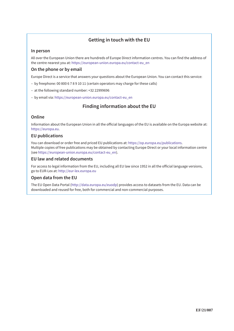## **Getting in touch with the EU**

## **In person**

All over the European Union there are hundreds of Europe Direct information centres. You can find the address of the centre nearest you at: [https://european-union.europa.eu/contact-eu\\_en](https://european-union.europa.eu/contact-eu_en)

## **On the phone or by email**

Europe Direct is a service that answers your questions about the European Union. You can contact this service:

- by freephone: 00 800 6 7 8 9 10 11 (certain operators may charge for these calls)
- at the following standard number: +32 22999696
- by email via: [https://european-union.europa.eu/contact-eu\\_en](https://european-union.europa.eu/contact-eu_en)

## **Finding information about the EU**

## **Online**

Information about the European Union in all the official languages of the EU is available on the Europa website at: [https://europa.eu.](https://europa.eu) 

## **EU publications**

You can download or order free and priced EU publications at: [https://op.europa.eu/publications.](https://op.europa.eu/publications) Multiple copies of free publications may be obtained by contacting Europe Direct or your local information centre (see [https://european-union.europa.eu/contact-eu\\_en\).](https://european-union.europa.eu/contact-eu_en)

## **EU law and related documents**

For access to legal information from the EU, including all EU law since 1952 in all the official language versions, go to EUR-Lex at:<http://eur-lex.europa.eu>

## **Open data from the EU**

The EU Open Data Portal ([http://data.europa.eu/euodp\) pr](http://data.europa.eu/euodp)ovides access to datasets from the EU. Data can be downloaded and reused for free, both for commercial and non-commercial purposes.